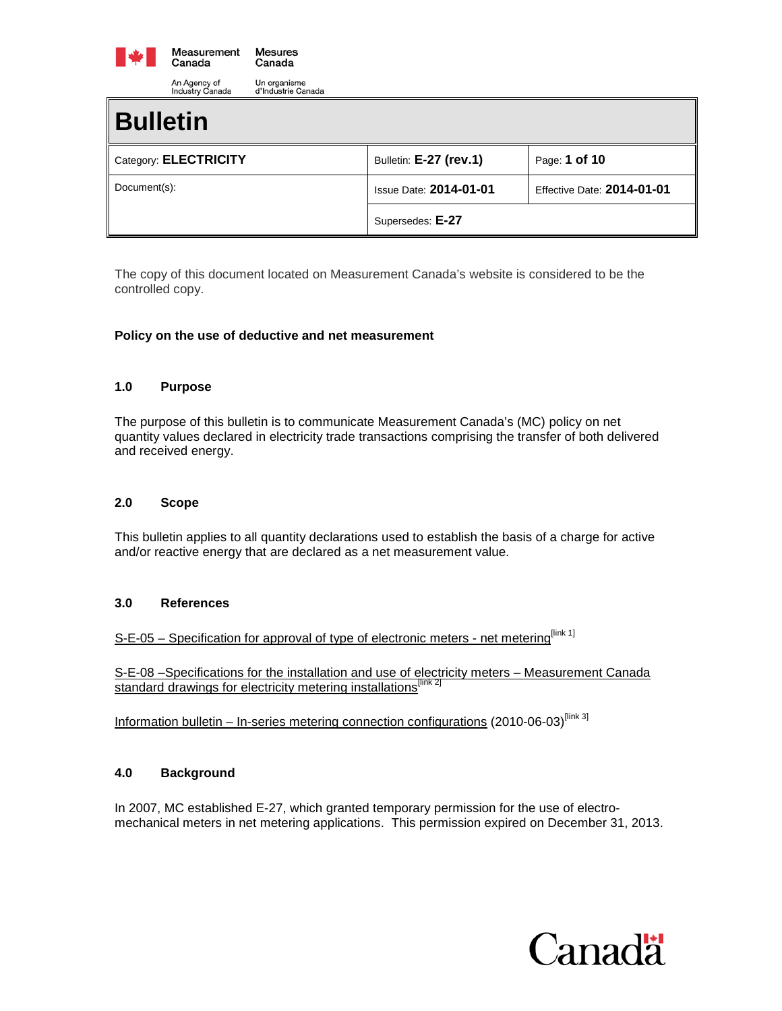

| maasu y Ganaaa<br>a magaano ognaag |                               |                                   |
|------------------------------------|-------------------------------|-----------------------------------|
| <b>Bulletin</b>                    |                               |                                   |
| Category: ELECTRICITY              | Bulletin: E-27 (rev.1)        | Page: 1 of 10                     |
| Document(s):                       | <b>Issue Date: 2014-01-01</b> | <b>Effective Date: 2014-01-01</b> |
|                                    | Supersedes: E-27              |                                   |

The copy of this document located on Measurement Canada's website is considered to be the controlled copy.

### **Policy on the use of deductive and net measurement**

### **1.0 Purpose**

The purpose of this bulletin is to communicate Measurement Canada's (MC) policy on net quantity values declared in electricity trade transactions comprising the transfer of both delivered and received energy.

#### **2.0 Scope**

This bulletin applies to all quantity declarations used to establish the basis of a charge for active and/or reactive energy that are declared as a net measurement value.

#### **3.0 References**

S-E-05 – [Specification for approval of type of electronic meters -](http://www.ic.gc.ca/eic/site/mc-mc.nsf/eng/lm00173.html) net metering<sup>[link 1]</sup>

S-E-08 [–Specifications for the installation and use of electricity meters –](http://www.ic.gc.ca/eic/site/mc-mc.nsf/eng/lm04068.html) Measurement Canada [standard drawings for electricity metering installations](http://www.ic.gc.ca/eic/site/mc-mc.nsf/eng/lm04068.html)<sup>[link 2]</sup>

Information bulletin – [In-series metering connection configurations](http://www.ic.gc.ca/eic/site/mc-mc.nsf/eng/lm04345.html) (2010-06-03)<sup>[link 3]</sup>

### **4.0 Background**

In 2007, MC established E-27, which granted temporary permission for the use of electromechanical meters in net metering applications. This permission expired on December 31, 2013.

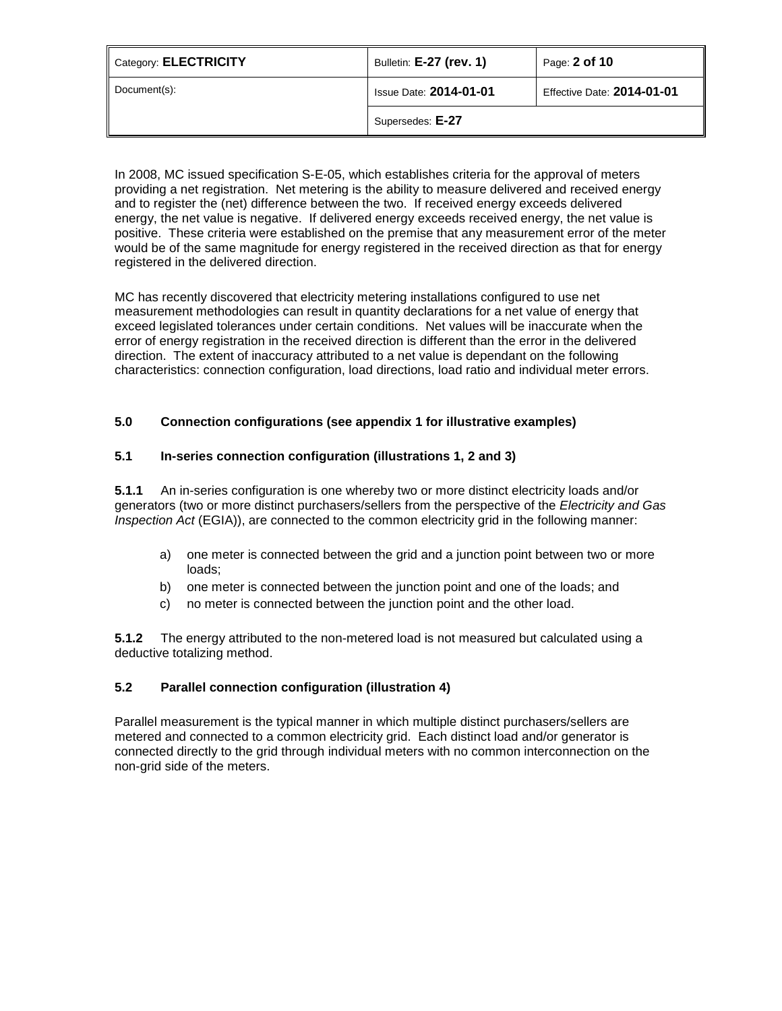| Category: ELECTRICITY | Bulletin: E-27 (rev. 1)       | Page: 2 of 10                     |
|-----------------------|-------------------------------|-----------------------------------|
| Document(s):          | <b>Issue Date: 2014-01-01</b> | <b>Effective Date: 2014-01-01</b> |
|                       | Supersedes: E-27              |                                   |

In 2008, MC issued specification S-E-05, which establishes criteria for the approval of meters providing a net registration. Net metering is the ability to measure delivered and received energy and to register the (net) difference between the two. If received energy exceeds delivered energy, the net value is negative. If delivered energy exceeds received energy, the net value is positive. These criteria were established on the premise that any measurement error of the meter would be of the same magnitude for energy registered in the received direction as that for energy registered in the delivered direction.

MC has recently discovered that electricity metering installations configured to use net measurement methodologies can result in quantity declarations for a net value of energy that exceed legislated tolerances under certain conditions. Net values will be inaccurate when the error of energy registration in the received direction is different than the error in the delivered direction. The extent of inaccuracy attributed to a net value is dependant on the following characteristics: connection configuration, load directions, load ratio and individual meter errors.

# **5.0 Connection configurations (see appendix 1 for illustrative examples)**

# **5.1 In-series connection configuration (illustrations 1, 2 and 3)**

**5.1.1** An in-series configuration is one whereby two or more distinct electricity loads and/or generators (two or more distinct purchasers/sellers from the perspective of the *Electricity and Gas Inspection Act* (EGIA)), are connected to the common electricity grid in the following manner:

- a) one meter is connected between the grid and a junction point between two or more loads;
- b) one meter is connected between the junction point and one of the loads; and
- c) no meter is connected between the junction point and the other load.

**5.1.2** The energy attributed to the non-metered load is not measured but calculated using a deductive totalizing method.

# **5.2 Parallel connection configuration (illustration 4)**

Parallel measurement is the typical manner in which multiple distinct purchasers/sellers are metered and connected to a common electricity grid. Each distinct load and/or generator is connected directly to the grid through individual meters with no common interconnection on the non-grid side of the meters.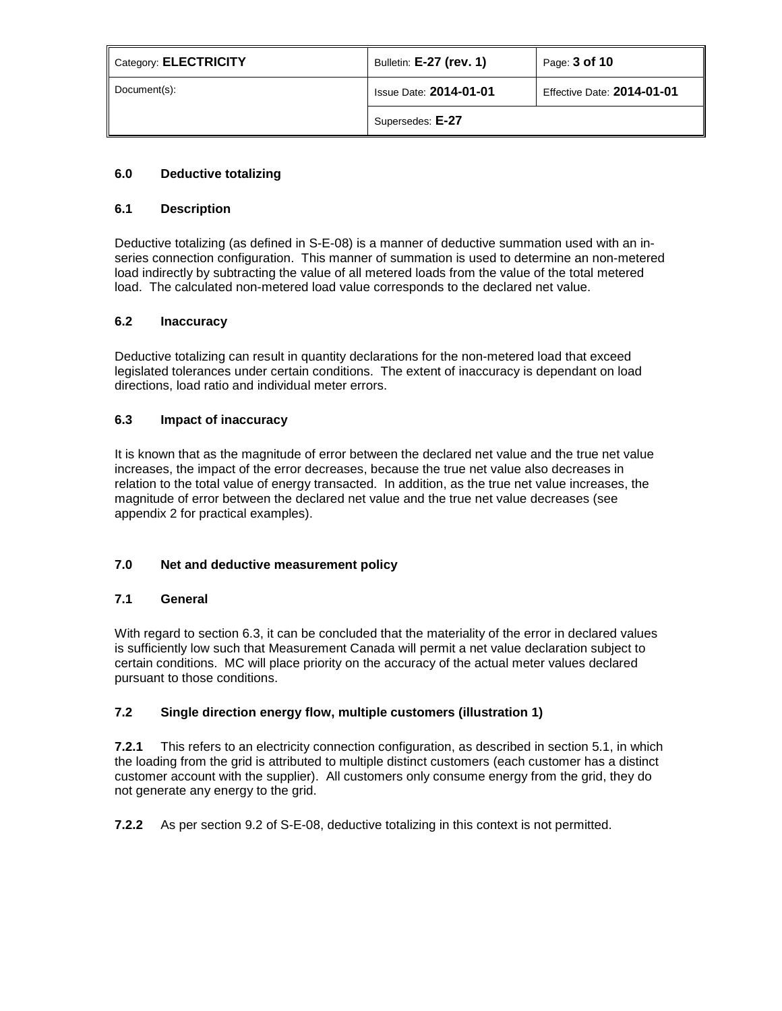| Category: <b>ELECTRICITY</b> | Bulletin: E-27 (rev. 1)       | Page: 3 of 10                     |
|------------------------------|-------------------------------|-----------------------------------|
| Document(s):                 | <b>Issue Date: 2014-01-01</b> | <b>Effective Date: 2014-01-01</b> |
|                              | Supersedes: E-27              |                                   |

# **6.0 Deductive totalizing**

# **6.1 Description**

Deductive totalizing (as defined in S-E-08) is a manner of deductive summation used with an inseries connection configuration. This manner of summation is used to determine an non-metered load indirectly by subtracting the value of all metered loads from the value of the total metered load. The calculated non-metered load value corresponds to the declared net value.

### **6.2 Inaccuracy**

Deductive totalizing can result in quantity declarations for the non-metered load that exceed legislated tolerances under certain conditions. The extent of inaccuracy is dependant on load directions, load ratio and individual meter errors.

### **6.3 Impact of inaccuracy**

It is known that as the magnitude of error between the declared net value and the true net value increases, the impact of the error decreases, because the true net value also decreases in relation to the total value of energy transacted. In addition, as the true net value increases, the magnitude of error between the declared net value and the true net value decreases (see appendix 2 for practical examples).

# **7.0 Net and deductive measurement policy**

# **7.1 General**

With regard to section 6.3, it can be concluded that the materiality of the error in declared values is sufficiently low such that Measurement Canada will permit a net value declaration subject to certain conditions. MC will place priority on the accuracy of the actual meter values declared pursuant to those conditions.

# **7.2 Single direction energy flow, multiple customers (illustration 1)**

**7.2.1** This refers to an electricity connection configuration, as described in section 5.1, in which the loading from the grid is attributed to multiple distinct customers (each customer has a distinct customer account with the supplier). All customers only consume energy from the grid, they do not generate any energy to the grid.

**7.2.2** As per section 9.2 of S-E-08, deductive totalizing in this context is not permitted.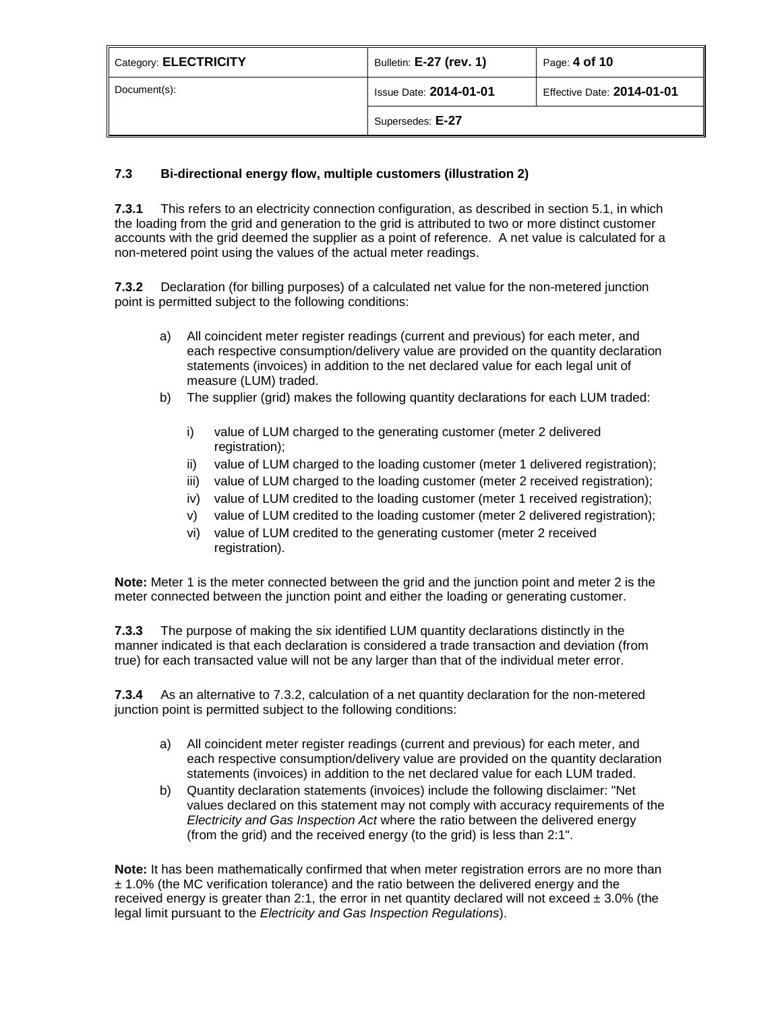| Category: ELECTRICITY | Bulletin: E-27 (rev. 1)       | Page: 4 of 10                     |
|-----------------------|-------------------------------|-----------------------------------|
| Document(s):          | <b>Issue Date: 2014-01-01</b> | <b>Effective Date: 2014-01-01</b> |
|                       | Supersedes: E-27              |                                   |

# **7.3 Bi-directional energy flow, multiple customers (illustration 2)**

**7.3.1** This refers to an electricity connection configuration, as described in section 5.1, in which the loading from the grid and generation to the grid is attributed to two or more distinct customer accounts with the grid deemed the supplier as a point of reference. A net value is calculated for a non-metered point using the values of the actual meter readings.

**7.3.2** Declaration (for billing purposes) of a calculated net value for the non-metered junction point is permitted subject to the following conditions:

- a) All coincident meter register readings (current and previous) for each meter, and each respective consumption/delivery value are provided on the quantity declaration statements (invoices) in addition to the net declared value for each legal unit of measure (LUM) traded.
- b) The supplier (grid) makes the following quantity declarations for each LUM traded:
	- i) value of LUM charged to the generating customer (meter 2 delivered registration);
	- ii) value of LUM charged to the loading customer (meter 1 delivered registration);
	- iii) value of LUM charged to the loading customer (meter 2 received registration);
	- iv) value of LUM credited to the loading customer (meter 1 received registration);
	- v) value of LUM credited to the loading customer (meter 2 delivered registration);
	- vi) value of LUM credited to the generating customer (meter 2 received registration).

**Note:** Meter 1 is the meter connected between the grid and the junction point and meter 2 is the meter connected between the junction point and either the loading or generating customer.

**7.3.3** The purpose of making the six identified LUM quantity declarations distinctly in the manner indicated is that each declaration is considered a trade transaction and deviation (from true) for each transacted value will not be any larger than that of the individual meter error.

**7.3.4** As an alternative to 7.3.2, calculation of a net quantity declaration for the non-metered junction point is permitted subject to the following conditions:

- a) All coincident meter register readings (current and previous) for each meter, and each respective consumption/delivery value are provided on the quantity declaration statements (invoices) in addition to the net declared value for each LUM traded.
- b) Quantity declaration statements (invoices) include the following disclaimer: "Net values declared on this statement may not comply with accuracy requirements of the *Electricity and Gas Inspection Act* where the ratio between the delivered energy (from the grid) and the received energy (to the grid) is less than 2:1".

**Note:** It has been mathematically confirmed that when meter registration errors are no more than ± 1.0% (the MC verification tolerance) and the ratio between the delivered energy and the received energy is greater than 2:1, the error in net quantity declared will not exceed  $\pm 3.0\%$  (the legal limit pursuant to the *Electricity and Gas Inspection Regulations*).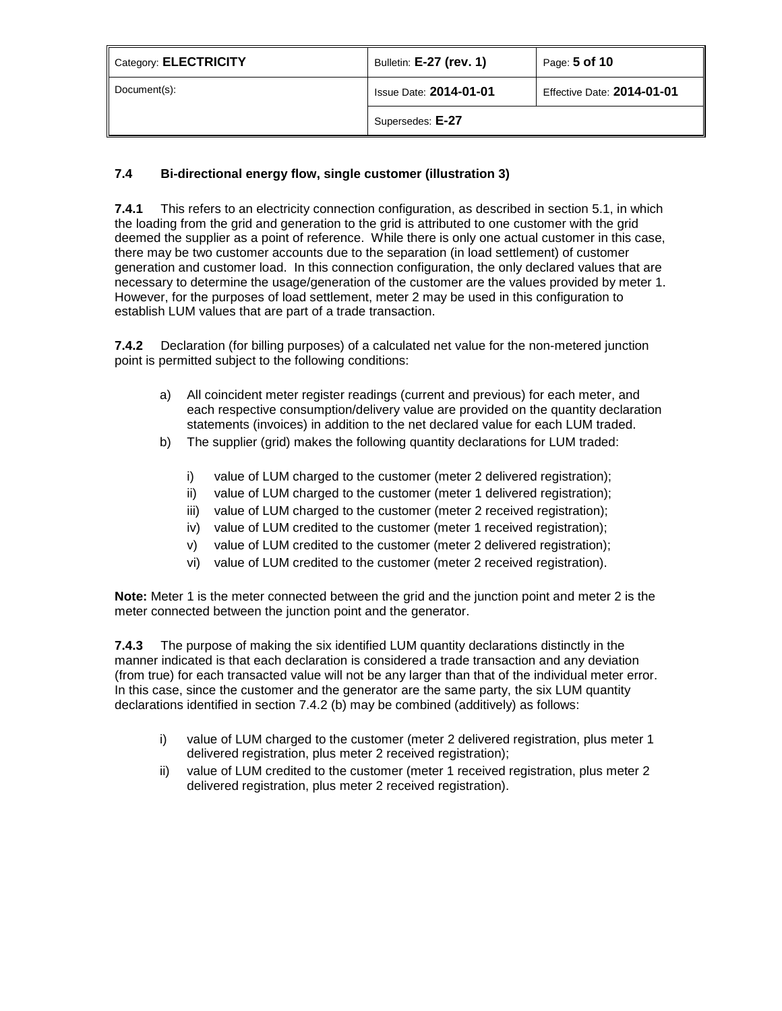| Category: ELECTRICITY | Bulletin: E-27 (rev. 1)       | Page: 5 of 10                     |
|-----------------------|-------------------------------|-----------------------------------|
| Document(s):          | <b>Issue Date: 2014-01-01</b> | <b>Effective Date: 2014-01-01</b> |
|                       | Supersedes: E-27              |                                   |

# **7.4 Bi-directional energy flow, single customer (illustration 3)**

**7.4.1** This refers to an electricity connection configuration, as described in section 5.1, in which the loading from the grid and generation to the grid is attributed to one customer with the grid deemed the supplier as a point of reference. While there is only one actual customer in this case, there may be two customer accounts due to the separation (in load settlement) of customer generation and customer load. In this connection configuration, the only declared values that are necessary to determine the usage/generation of the customer are the values provided by meter 1. However, for the purposes of load settlement, meter 2 may be used in this configuration to establish LUM values that are part of a trade transaction.

**7.4.2** Declaration (for billing purposes) of a calculated net value for the non-metered junction point is permitted subject to the following conditions:

- a) All coincident meter register readings (current and previous) for each meter, and each respective consumption/delivery value are provided on the quantity declaration statements (invoices) in addition to the net declared value for each LUM traded.
- b) The supplier (grid) makes the following quantity declarations for LUM traded:
	- i) value of LUM charged to the customer (meter 2 delivered registration);
	- ii) value of LUM charged to the customer (meter 1 delivered registration);
	- iii) value of LUM charged to the customer (meter 2 received registration);
	- iv) value of LUM credited to the customer (meter 1 received registration);
	- v) value of LUM credited to the customer (meter 2 delivered registration);
	- vi) value of LUM credited to the customer (meter 2 received registration).

**Note:** Meter 1 is the meter connected between the grid and the junction point and meter 2 is the meter connected between the junction point and the generator.

**7.4.3** The purpose of making the six identified LUM quantity declarations distinctly in the manner indicated is that each declaration is considered a trade transaction and any deviation (from true) for each transacted value will not be any larger than that of the individual meter error. In this case, since the customer and the generator are the same party, the six LUM quantity declarations identified in section 7.4.2 (b) may be combined (additively) as follows:

- i) value of LUM charged to the customer (meter 2 delivered registration, plus meter 1 delivered registration, plus meter 2 received registration);
- ii) value of LUM credited to the customer (meter 1 received registration, plus meter 2 delivered registration, plus meter 2 received registration).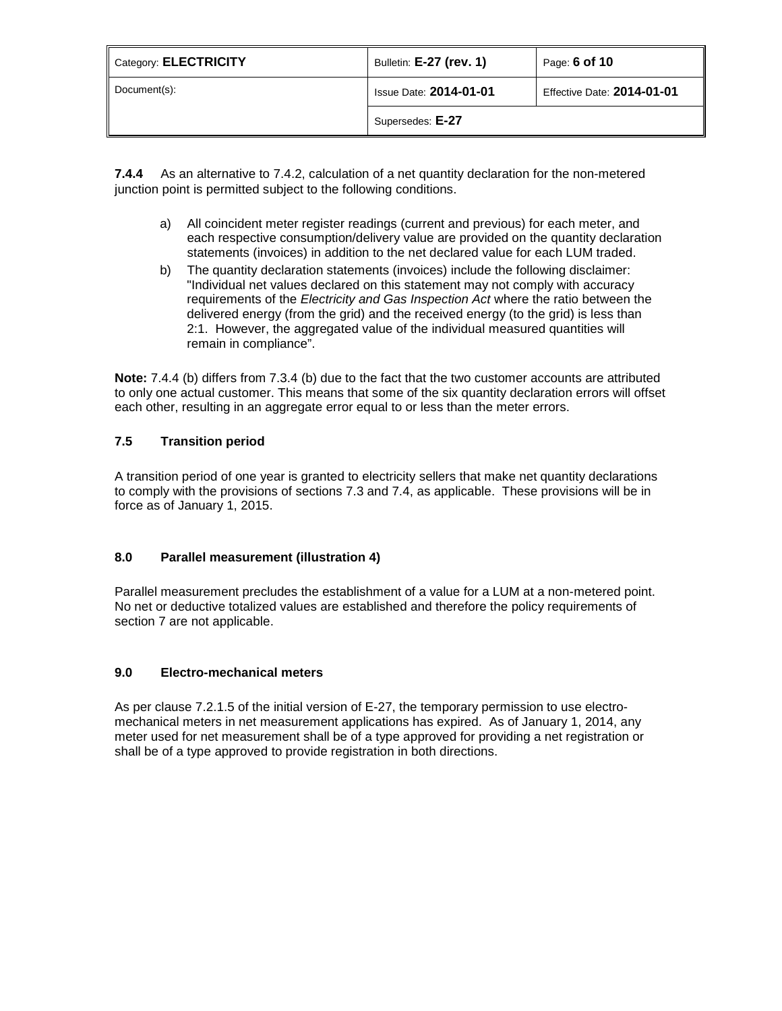| Category: ELECTRICITY | Bulletin: E-27 (rev. 1)       | Page: 6 of 10              |
|-----------------------|-------------------------------|----------------------------|
| Document(s):          | <b>Issue Date: 2014-01-01</b> | Effective Date: 2014-01-01 |
|                       | Supersedes: E-27              |                            |

**7.4.4** As an alternative to 7.4.2, calculation of a net quantity declaration for the non-metered junction point is permitted subject to the following conditions.

- a) All coincident meter register readings (current and previous) for each meter, and each respective consumption/delivery value are provided on the quantity declaration statements (invoices) in addition to the net declared value for each LUM traded.
- b) The quantity declaration statements (invoices) include the following disclaimer: "Individual net values declared on this statement may not comply with accuracy requirements of the *Electricity and Gas Inspection Act* where the ratio between the delivered energy (from the grid) and the received energy (to the grid) is less than 2:1. However, the aggregated value of the individual measured quantities will remain in compliance".

**Note:** 7.4.4 (b) differs from 7.3.4 (b) due to the fact that the two customer accounts are attributed to only one actual customer. This means that some of the six quantity declaration errors will offset each other, resulting in an aggregate error equal to or less than the meter errors.

# **7.5 Transition period**

A transition period of one year is granted to electricity sellers that make net quantity declarations to comply with the provisions of sections 7.3 and 7.4, as applicable. These provisions will be in force as of January 1, 2015.

# **8.0 Parallel measurement (illustration 4)**

Parallel measurement precludes the establishment of a value for a LUM at a non-metered point. No net or deductive totalized values are established and therefore the policy requirements of section 7 are not applicable.

# **9.0 Electro-mechanical meters**

As per clause 7.2.1.5 of the initial version of E-27, the temporary permission to use electromechanical meters in net measurement applications has expired. As of January 1, 2014, any meter used for net measurement shall be of a type approved for providing a net registration or shall be of a type approved to provide registration in both directions.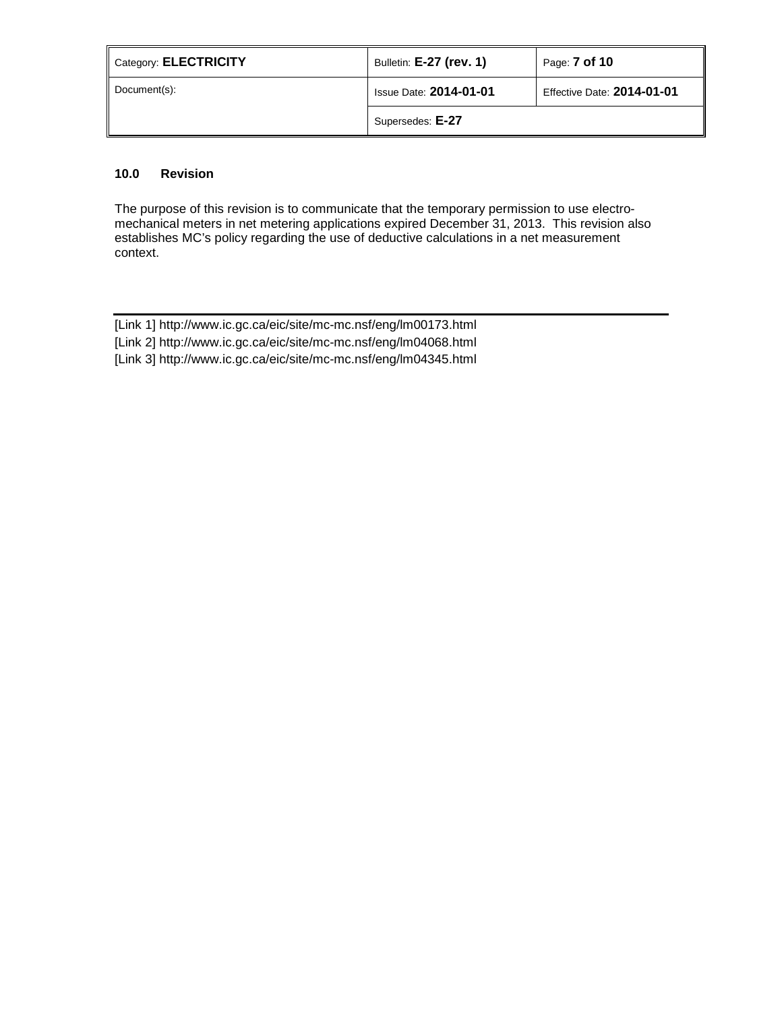| Category: ELECTRICITY | Bulletin: <b>E-27 (rev. 1)</b> | Page: <b>7 of 10</b>       |
|-----------------------|--------------------------------|----------------------------|
| Document(s):          | <b>Issue Date: 2014-01-01</b>  | Effective Date: 2014-01-01 |
|                       | Supersedes: E-27               |                            |

# **10.0 Revision**

The purpose of this revision is to communicate that the temporary permission to use electromechanical meters in net metering applications expired December 31, 2013. This revision also establishes MC's policy regarding the use of deductive calculations in a net measurement context.

| [Link 1] http://www.ic.gc.ca/eic/site/mc-mc.nsf/eng/lm00173.html |
|------------------------------------------------------------------|
| [Link 2] http://www.ic.gc.ca/eic/site/mc-mc.nsf/eng/lm04068.html |
| [Link 3] http://www.ic.gc.ca/eic/site/mc-mc.nsf/eng/lm04345.html |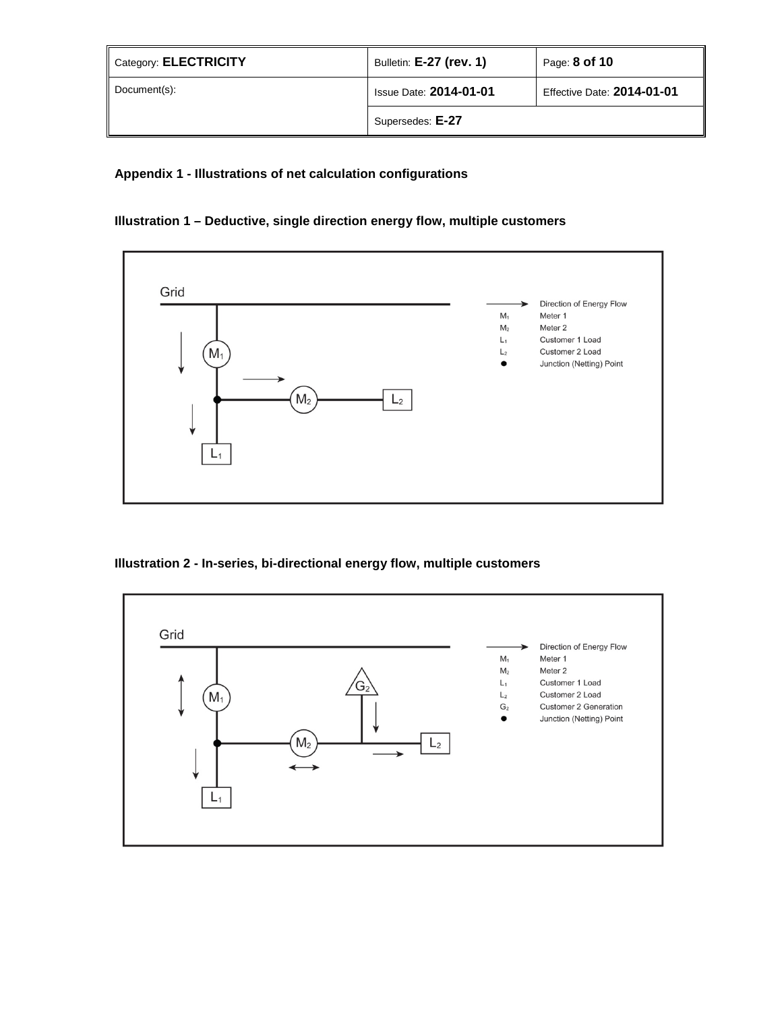| Category: ELECTRICITY | Bulletin: E-27 (rev. 1)       | Page: 8 of 10                     |
|-----------------------|-------------------------------|-----------------------------------|
| Document(s):          | <b>Issue Date: 2014-01-01</b> | <b>Effective Date: 2014-01-01</b> |
|                       | Supersedes: E-27              |                                   |

# **Appendix 1 - Illustrations of net calculation configurations**

# **Illustration 1 – Deductive, single direction energy flow, multiple customers**



# **Illustration 2 - In-series, bi-directional energy flow, multiple customers**

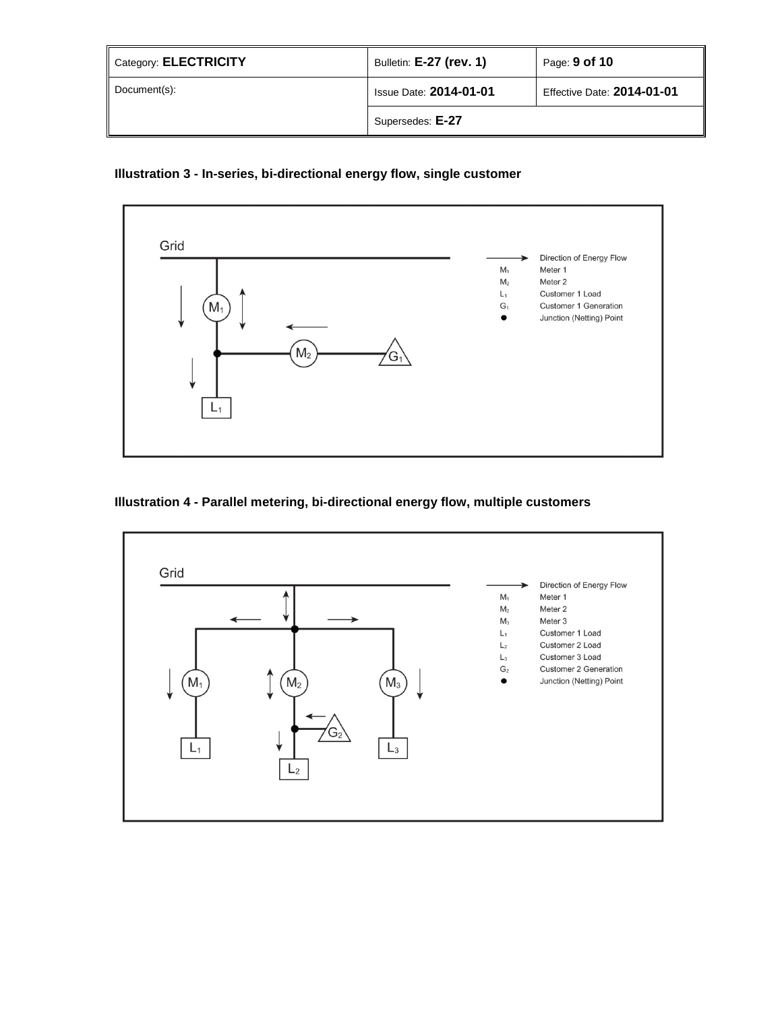| $\parallel$ Category: <b>ELECTRICITY</b> | Bulletin: E-27 (rev. 1)       | Page: 9 of 10                     |
|------------------------------------------|-------------------------------|-----------------------------------|
| Document(s):                             | <b>Issue Date: 2014-01-01</b> | <b>Effective Date: 2014-01-01</b> |
|                                          | Supersedes: E-27              |                                   |

# **Illustration 3 - In-series, bi-directional energy flow, single customer**



# **Illustration 4 - Parallel metering, bi-directional energy flow, multiple customers**